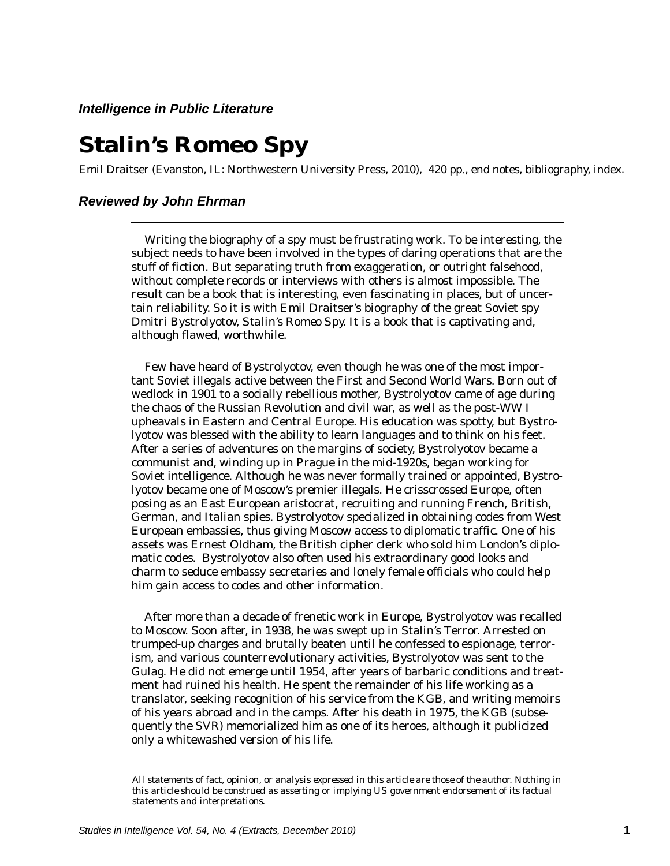## **Stalin's Romeo Spy**

Emil Draitser (Evanston, IL: Northwestern University Press, 2010), 420 pp., end notes, bibliography, index.

## *Reviewed by John Ehrman*

Writing the biography of a spy must be frustrating work. To be interesting, the subject needs to have been involved in the types of daring operations that are the stuff of fiction. But separating truth from exaggeration, or outright falsehood, without complete records or interviews with others is almost impossible. The result can be a book that is interesting, even fascinating in places, but of uncertain reliability. So it is with Emil Draitser's biography of the great Soviet spy Dmitri Bystrolyotov, *Stalin's Romeo Spy*. It is a book that is captivating and, although flawed, worthwhile.

Few have heard of Bystrolyotov, even though he was one of the most important Soviet illegals active between the First and Second World Wars. Born out of wedlock in 1901 to a socially rebellious mother, Bystrolyotov came of age during the chaos of the Russian Revolution and civil war, as well as the post-WW I upheavals in Eastern and Central Europe. His education was spotty, but Bystrolyotov was blessed with the ability to learn languages and to think on his feet. After a series of adventures on the margins of society, Bystrolyotov became a communist and, winding up in Prague in the mid-1920s, began working for Soviet intelligence. Although he was never formally trained or appointed, Bystrolyotov became one of Moscow's premier illegals. He crisscrossed Europe, often posing as an East European aristocrat, recruiting and running French, British, German, and Italian spies. Bystrolyotov specialized in obtaining codes from West European embassies, thus giving Moscow access to diplomatic traffic. One of his assets was Ernest Oldham, the British cipher clerk who sold him London's diplomatic codes. Bystrolyotov also often used his extraordinary good looks and charm to seduce embassy secretaries and lonely female officials who could help him gain access to codes and other information.

After more than a decade of frenetic work in Europe, Bystrolyotov was recalled to Moscow. Soon after, in 1938, he was swept up in Stalin's Terror. Arrested on trumped-up charges and brutally beaten until he confessed to espionage, terrorism, and various counterrevolutionary activities, Bystrolyotov was sent to the Gulag. He did not emerge until 1954, after years of barbaric conditions and treatment had ruined his health. He spent the remainder of his life working as a translator, seeking recognition of his service from the KGB, and writing memoirs of his years abroad and in the camps. After his death in 1975, the KGB (subsequently the SVR) memorialized him as one of its heroes, although it publicized only a whitewashed version of his life.

*All statements of fact, opinion, or analysis expressed in this article are those of the author. Nothing in this article should be construed as asserting or implying US government endorsement of its factual statements and interpretations.*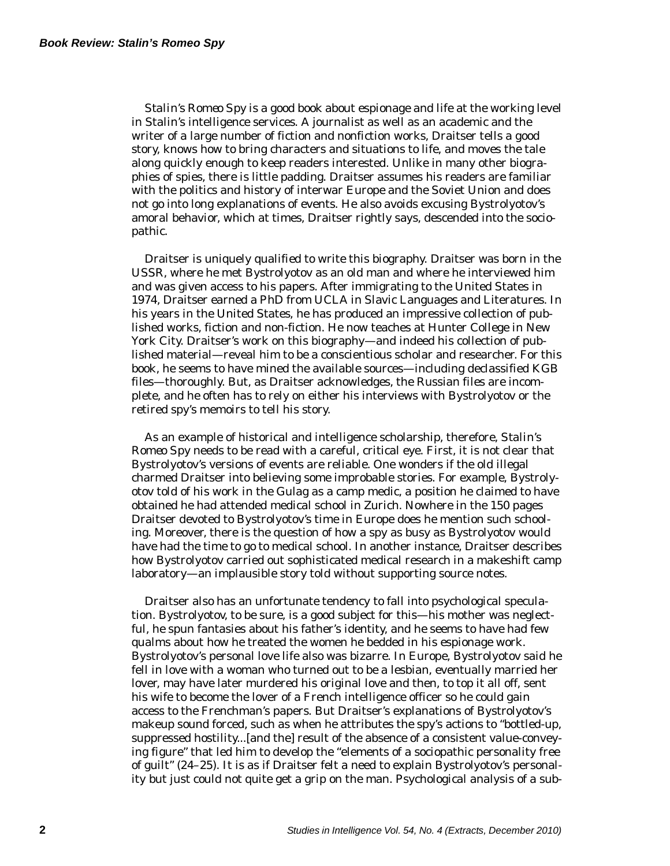*Stalin's Romeo Spy* is a good book about espionage and life at the working level in Stalin's intelligence services. A journalist as well as an academic and the writer of a large number of fiction and nonfiction works, Draitser tells a good story, knows how to bring characters and situations to life, and moves the tale along quickly enough to keep readers interested. Unlike in many other biographies of spies, there is little padding. Draitser assumes his readers are familiar with the politics and history of interwar Europe and the Soviet Union and does not go into long explanations of events. He also avoids excusing Bystrolyotov's amoral behavior, which at times, Draitser rightly says, descended into the sociopathic.

Draitser is uniquely qualified to write this biography. Draitser was born in the USSR, where he met Bystrolyotov as an old man and where he interviewed him and was given access to his papers. After immigrating to the United States in 1974, Draitser earned a PhD from UCLA in Slavic Languages and Literatures. In his years in the United States, he has produced an impressive collection of published works, fiction and non-fiction. He now teaches at Hunter College in New York City. Draitser's work on this biography—and indeed his collection of published material—reveal him to be a conscientious scholar and researcher. For this book, he seems to have mined the available sources—including declassified KGB files—thoroughly. But, as Draitser acknowledges, the Russian files are incomplete, and he often has to rely on either his interviews with Bystrolyotov or the retired spy's memoirs to tell his story.

As an example of historical and intelligence scholarship, therefore, *Stalin's Romeo Spy* needs to be read with a careful, critical eye. First, it is not clear that Bystrolyotov's versions of events are reliable. One wonders if the old illegal charmed Draitser into believing some improbable stories. For example, Bystrolyotov told of his work in the Gulag as a camp medic, a position he claimed to have obtained he had attended medical school in Zurich. Nowhere in the 150 pages Draitser devoted to Bystrolyotov's time in Europe does he mention such schooling. Moreover, there is the question of how a spy as busy as Bystrolyotov would have had the time to go to medical school. In another instance, Draitser describes how Bystrolyotov carried out sophisticated medical research in a makeshift camp laboratory—an implausible story told without supporting source notes.

Draitser also has an unfortunate tendency to fall into psychological speculation. Bystrolyotov, to be sure, is a good subject for this—his mother was neglectful, he spun fantasies about his father's identity, and he seems to have had few qualms about how he treated the women he bedded in his espionage work. Bystrolyotov's personal love life also was bizarre. In Europe, Bystrolyotov said he fell in love with a woman who turned out to be a lesbian, eventually married her lover, may have later murdered his original love and then, to top it all off, sent his wife to become the lover of a French intelligence officer so he could gain access to the Frenchman's papers. But Draitser's explanations of Bystrolyotov's makeup sound forced, such as when he attributes the spy's actions to "bottled-up, suppressed hostility...[and the] result of the absence of a consistent value-conveying figure" that led him to develop the "elements of a sociopathic personality free of guilt" (24–25). It is as if Draitser felt a need to explain Bystrolyotov's personality but just could not quite get a grip on the man. Psychological analysis of a sub